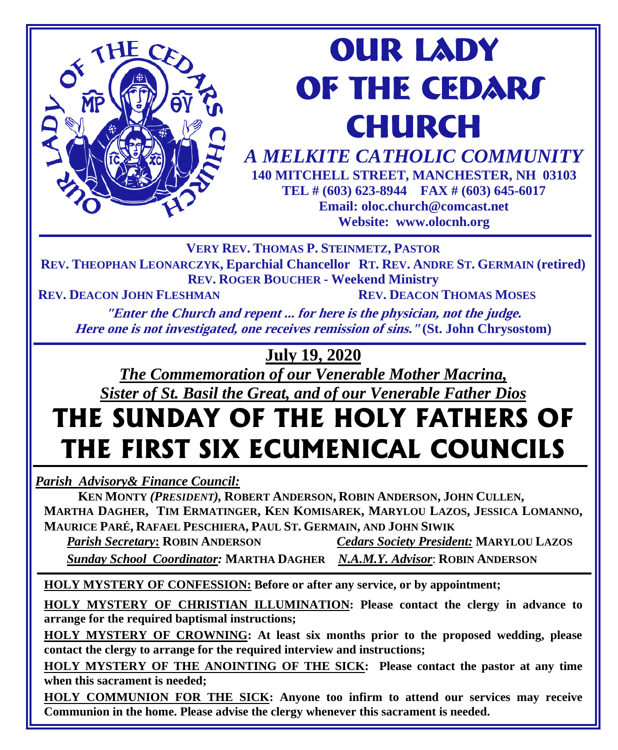

# **our lady OF THE CEDARS CHURCH**

*A MELKITE CATHOLIC COMMUNITY*  **140 MITCHELL STREET, MANCHESTER, NH 03103 TEL # (603) 623-8944 FAX # (603) 645-6017 Email: oloc.church@comcast.net** 

**Website: www.olocnh.org**

**VERY REV. THOMAS P. STEINMETZ, PASTOR**

**REV. THEOPHAN LEONARCZYK, Eparchial Chancellor RT. REV. ANDRE ST. GERMAIN (retired) REV. ROGER BOUCHER - Weekend Ministry**

**REV. DEACON JOHN FLESHMAN REV. DEACON THOMAS MOSES**

**"Enter the Church and repent ... for here is the physician, not the judge. Here one is not investigated, one receives remission of sins." (St. John Chrysostom)**

#### **July 19, 2020**

*The Commemoration of our Venerable Mother Macrina, Sister of St. Basil the Great, and of our Venerable Father Dios*

# **THE SUNDAY OF THE HOLY FATHERS OF THE FIRST SIX ECUMENICAL COUNCILS**

*Parish Advisory& Finance Council:* 

 **KEN MONTY** *(PRESIDENT),* **ROBERT ANDERSON, ROBIN ANDERSON, JOHN CULLEN, MARTHA DAGHER, TIM ERMATINGER, KEN KOMISAREK, MARYLOU LAZOS, JESSICA LOMANNO, MAURICE PARÉ, RAFAEL PESCHIERA, PAUL ST. GERMAIN, AND JOHN SIWIK**

 *Parish Secretary***: ROBIN ANDERSON** *Cedars Society President:* **MARYLOU LAZOS**  *Sunday School Coordinator:* **MARTHA DAGHER** *N.A.M.Y. Advisor*: **ROBIN ANDERSON**

**HOLY MYSTERY OF CONFESSION: Before or after any service, or by appointment;**

**HOLY MYSTERY OF CHRISTIAN ILLUMINATION: Please contact the clergy in advance to arrange for the required baptismal instructions;**

**HOLY MYSTERY OF CROWNING: At least six months prior to the proposed wedding, please contact the clergy to arrange for the required interview and instructions;**

**HOLY MYSTERY OF THE ANOINTING OF THE SICK: Please contact the pastor at any time when this sacrament is needed;**

**HOLY COMMUNION FOR THE SICK: Anyone too infirm to attend our services may receive Communion in the home. Please advise the clergy whenever this sacrament is needed.**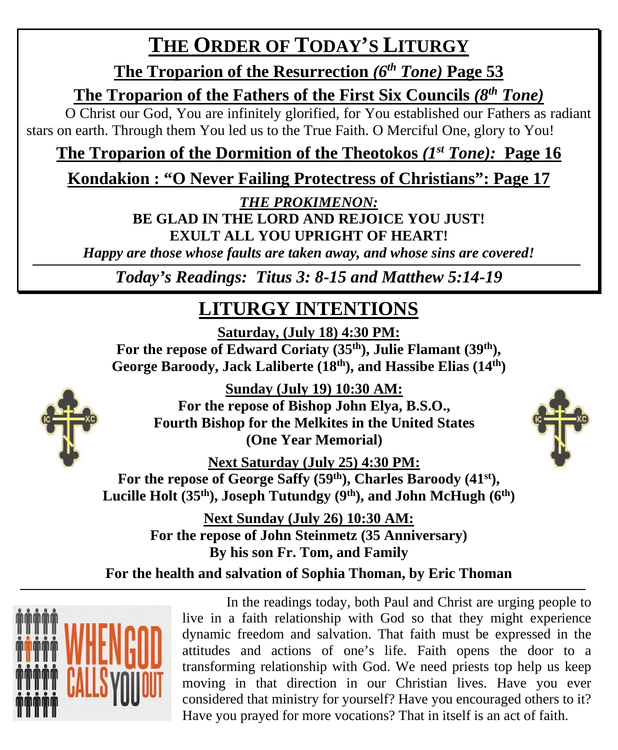## **THE ORDER OF TODAY'S LITURGY**

**The Troparion of the Resurrection** *(6th Tone)* **Page 53**

**The Troparion of the Fathers of the First Six Councils** *(8th Tone)*

O Christ our God, You are infinitely glorified, for You established our Fathers as radiant stars on earth. Through them You led us to the True Faith. O Merciful One, glory to You!

#### **The Troparion of the Dormition of the Theotokos** *(1st Tone):* **Page 16**

#### **Kondakion : "O Never Failing Protectress of Christians": Page 17**

*THE PROKIMENON:*

**BE GLAD IN THE LORD AND REJOICE YOU JUST! EXULT ALL YOU UPRIGHT OF HEART!**

*Happy are those whose faults are taken away, and whose sins are covered! \*

*Today's Readings: Titus 3: 8-15 and Matthew 5:14-19*

## **LITURGY INTENTIONS**

**Saturday, (July 18) 4:30 PM:**

For the repose of Edward Coriaty (35<sup>th</sup>), Julie Flamant (39<sup>th</sup>), **George Baroody, Jack Laliberte (18th), and Hassibe Elias (14th)**



**Sunday (July 19) 10:30 AM: For the repose of Bishop John Elya, B.S.O., Fourth Bishop for the Melkites in the United States (One Year Memorial)**

**Next Saturday (July 25) 4:30 PM:** For the repose of George Saffy (59<sup>th</sup>), Charles Baroody (41<sup>st</sup>), Lucille Holt (35<sup>th</sup>), Joseph Tutundgy (9<sup>th</sup>), and John McHugh (6<sup>th</sup>)

> **Next Sunday (July 26) 10:30 AM: For the repose of John Steinmetz (35 Anniversary) By his son Fr. Tom, and Family**

**For the health and salvation of Sophia Thoman, by Eric Thoman**



In the readings today, both Paul and Christ are urging people to live in a faith relationship with God so that they might experience dynamic freedom and salvation. That faith must be expressed in the attitudes and actions of one's life. Faith opens the door to a transforming relationship with God. We need priests top help us keep moving in that direction in our Christian lives. Have you ever considered that ministry for yourself? Have you encouraged others to it? Have you prayed for more vocations? That in itself is an act of faith.

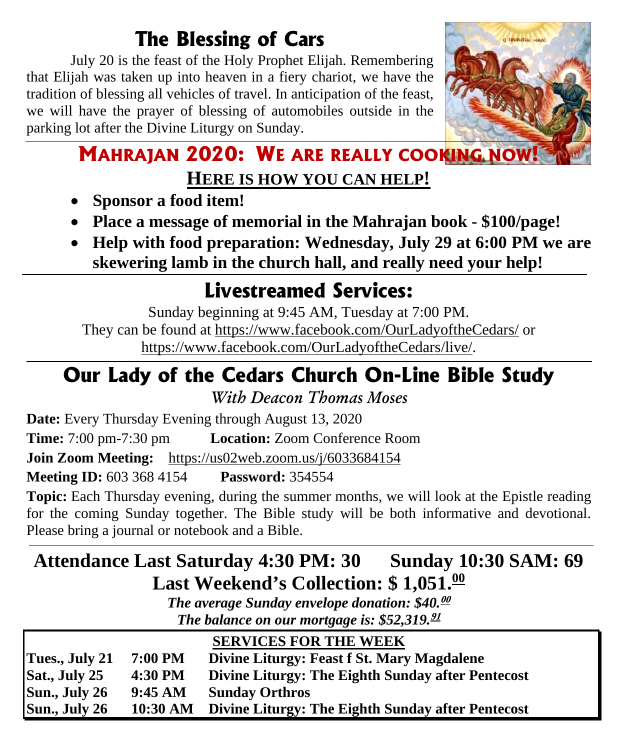## **The Blessing of Cars**

July 20 is the feast of the Holy Prophet Elijah. Remembering that Elijah was taken up into heaven in a fiery chariot, we have the tradition of blessing all vehicles of travel. In anticipation of the feast, we will have the prayer of blessing of automobiles outside in the parking lot after the Divine Liturgy on Sunday.



#### **MAHRAJAN 2020: WE ARE REALLY COOKING NOW HERE IS HOW YOU CAN HELP!**

- **Sponsor a food item!**
- **Place a message of memorial in the Mahrajan book - \$100/page!**
- **Help with food preparation: Wednesday, July 29 at 6:00 PM we are skewering lamb in the church hall, and really need your help!**

## **Livestreamed Services:**

Sunday beginning at 9:45 AM, Tuesday at 7:00 PM. They can be found at<https://www.facebook.com/OurLadyoftheCedars/> or [https://www.facebook.com/OurLadyoftheCedars/live/.](https://www.facebook.com/OurLadyoftheCedars/live/)

# **Our Lady of the Cedars Church On-Line Bible Study**

*With Deacon Thomas Moses*

**Date:** Every Thursday Evening through August 13, 2020 **Time:** 7:00 pm-7:30 pm **Location:** Zoom Conference Room **Join Zoom Meeting:** <https://us02web.zoom.us/j/6033684154> **Meeting ID:** 603 368 4154 **Password:** 354554

**Topic:** Each Thursday evening, during the summer months, we will look at the Epistle reading for the coming Sunday together. The Bible study will be both informative and devotional. Please bring a journal or notebook and a Bible.

#### **Attendance Last Saturday 4:30 PM: 30 Sunday 10:30 SAM: 69 Last Weekend's Collection: \$ 1,051. 00**

*The average Sunday envelope donation: \$40.* **00** *The balance on our mortgage is: \$52,319.* **91**

|                |                   | <b>SERVICES FOR THE WEEK</b>                      |
|----------------|-------------------|---------------------------------------------------|
| Tues., July 21 | 7:00 PM           | Divine Liturgy: Feast f St. Mary Magdalene        |
| Sat., July 25  | 4:30 PM           | Divine Liturgy: The Eighth Sunday after Pentecost |
| Sun., July 26  | $9:45 \text{ AM}$ | <b>Sunday Orthros</b>                             |
| Sun., July 26  | 10:30 AM          | Divine Liturgy: The Eighth Sunday after Pentecost |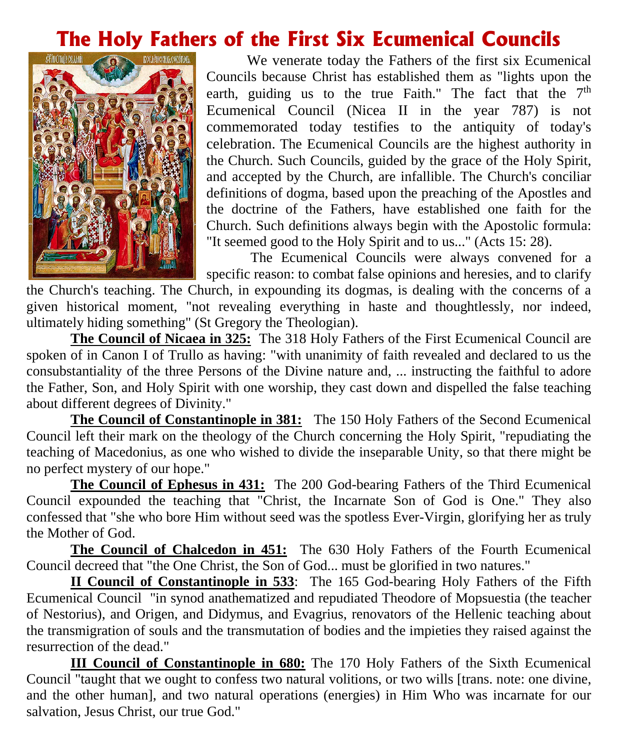#### **The Holy Fathers of the First Six Ecumenical Councils**



 We venerate today the Fathers of the first six Ecumenical Councils because Christ has established them as "lights upon the earth, guiding us to the true Faith." The fact that the  $7<sup>th</sup>$ Ecumenical Council (Nicea II in the year 787) is not commemorated today testifies to the antiquity of today's celebration. The Ecumenical Councils are the highest authority in the Church. Such Councils, guided by the grace of the Holy Spirit, and accepted by the Church, are infallible. The Church's conciliar definitions of dogma, based upon the preaching of the Apostles and the doctrine of the Fathers, have established one faith for the Church. Such definitions always begin with the Apostolic formula: "It seemed good to the Holy Spirit and to us..." (Acts 15: 28).

The Ecumenical Councils were always convened for a specific reason: to combat false opinions and heresies, and to clarify

the Church's teaching. The Church, in expounding its dogmas, is dealing with the concerns of a given historical moment, "not revealing everything in haste and thoughtlessly, nor indeed, ultimately hiding something" (St Gregory the Theologian).

**The Council of Nicaea in 325:** The 318 Holy Fathers of the First Ecumenical Council are spoken of in Canon I of Trullo as having: "with unanimity of faith revealed and declared to us the consubstantiality of the three Persons of the Divine nature and, ... instructing the faithful to adore the Father, Son, and Holy Spirit with one worship, they cast down and dispelled the false teaching about different degrees of Divinity."

**The Council of Constantinople in 381:** The 150 Holy Fathers of the Second Ecumenical Council left their mark on the theology of the Church concerning the Holy Spirit, "repudiating the teaching of Macedonius, as one who wished to divide the inseparable Unity, so that there might be no perfect mystery of our hope."

**The Council of Ephesus in 431:** The 200 God-bearing Fathers of the Third Ecumenical Council expounded the teaching that "Christ, the Incarnate Son of God is One." They also confessed that "she who bore Him without seed was the spotless Ever-Virgin, glorifying her as truly the Mother of God.

**The Council of Chalcedon in 451:** The 630 Holy Fathers of the Fourth Ecumenical Council decreed that "the One Christ, the Son of God... must be glorified in two natures."

**II Council of Constantinople in 533**: The 165 God-bearing Holy Fathers of the Fifth Ecumenical Council "in synod anathematized and repudiated Theodore of Mopsuestia (the teacher of Nestorius), and Origen, and Didymus, and Evagrius, renovators of the Hellenic teaching about the transmigration of souls and the transmutation of bodies and the impieties they raised against the resurrection of the dead."

**III Council of Constantinople in 680:** The 170 Holy Fathers of the Sixth Ecumenical Council "taught that we ought to confess two natural volitions, or two wills [trans. note: one divine, and the other human], and two natural operations (energies) in Him Who was incarnate for our salvation, Jesus Christ, our true God."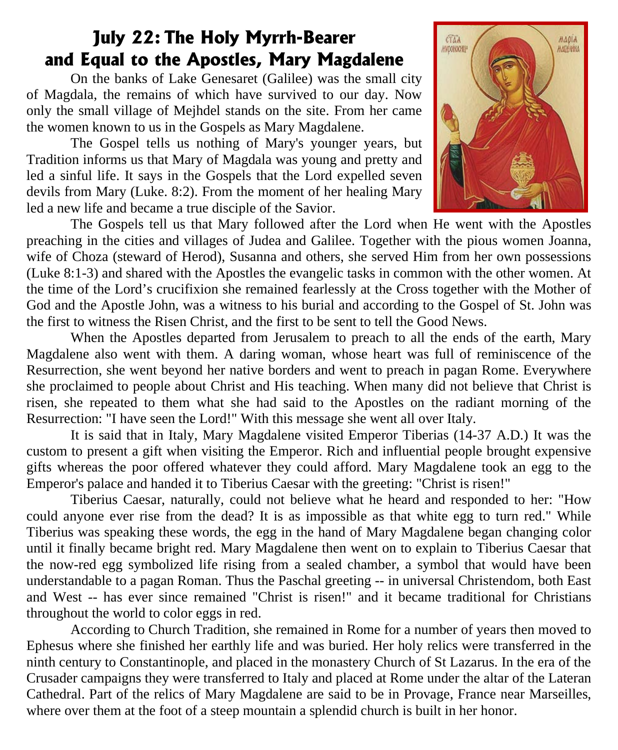#### **July 22: The Holy Myrrh-Bearer and Equal to the Apostles, Mary Magdalene**

On the banks of Lake Genesaret (Galilee) was the small city of Magdala, the remains of which have survived to our day. Now only the small village of Mejhdel stands on the site. From her came the women known to us in the Gospels as Mary Magdalene.

The Gospel tells us nothing of Mary's younger years, but Tradition informs us that Mary of Magdala was young and pretty and led a sinful life. It says in the Gospels that the Lord expelled seven devils from Mary (Luke. 8:2). From the moment of her healing Mary led a new life and became a true disciple of the Savior.



The Gospels tell us that Mary followed after the Lord when He went with the Apostles preaching in the cities and villages of Judea and Galilee. Together with the pious women Joanna, wife of Choza (steward of Herod), Susanna and others, she served Him from her own possessions (Luke 8:1-3) and shared with the Apostles the evangelic tasks in common with the other women. At the time of the Lord's crucifixion she remained fearlessly at the Cross together with the Mother of God and the Apostle John, was a witness to his burial and according to the Gospel of St. John was the first to witness the Risen Christ, and the first to be sent to tell the Good News.

When the Apostles departed from Jerusalem to preach to all the ends of the earth, Mary Magdalene also went with them. A daring woman, whose heart was full of reminiscence of the Resurrection, she went beyond her native borders and went to preach in pagan Rome. Everywhere she proclaimed to people about Christ and His teaching. When many did not believe that Christ is risen, she repeated to them what she had said to the Apostles on the radiant morning of the Resurrection: "I have seen the Lord!" With this message she went all over Italy.

It is said that in Italy, Mary Magdalene visited Emperor Tiberias (14-37 A.D.) It was the custom to present a gift when visiting the Emperor. Rich and influential people brought expensive gifts whereas the poor offered whatever they could afford. Mary Magdalene took an egg to the Emperor's palace and handed it to Tiberius Caesar with the greeting: "Christ is risen!"

Tiberius Caesar, naturally, could not believe what he heard and responded to her: "How could anyone ever rise from the dead? It is as impossible as that white egg to turn red." While Tiberius was speaking these words, the egg in the hand of Mary Magdalene began changing color until it finally became bright red. Mary Magdalene then went on to explain to Tiberius Caesar that the now-red egg symbolized life rising from a sealed chamber, a symbol that would have been understandable to a pagan Roman. Thus the Paschal greeting -- in universal Christendom, both East and West -- has ever since remained "Christ is risen!" and it became traditional for Christians throughout the world to color eggs in red.

According to Church Tradition, she remained in Rome for a number of years then moved to Ephesus where she finished her earthly life and was buried. Her holy relics were transferred in the ninth century to Constantinople, and placed in the monastery Church of St Lazarus. In the era of the Crusader campaigns they were transferred to Italy and placed at Rome under the altar of the Lateran Cathedral. Part of the relics of Mary Magdalene are said to be in Provage, France near Marseilles, where over them at the foot of a steep mountain a splendid church is built in her honor.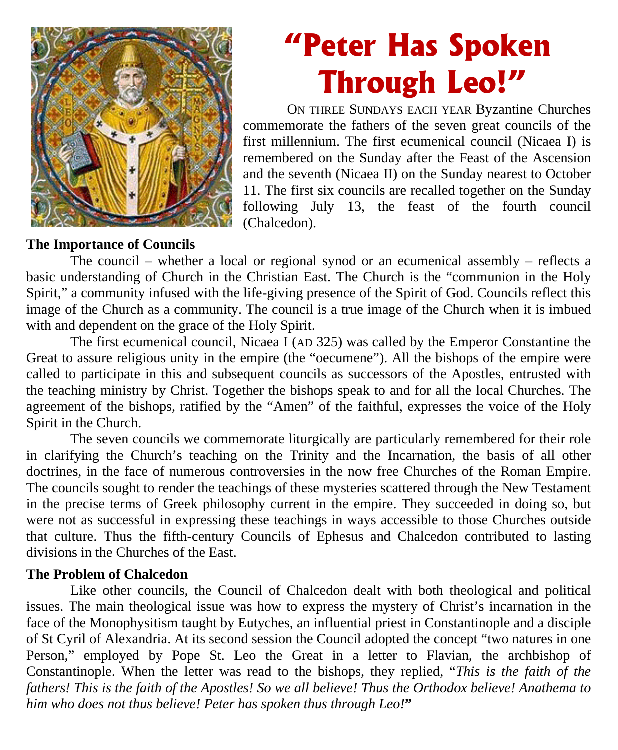

# **"Peter Has Spoken Through Leo!"**

ON THREE SUNDAYS EACH YEAR Byzantine Churches commemorate the fathers of the seven great councils of the first millennium. The first ecumenical council (Nicaea I) is remembered on the Sunday after the Feast of the Ascension and the seventh (Nicaea II) on the Sunday nearest to October 11. The first six councils are recalled together on the Sunday following July 13, the feast of the fourth council (Chalcedon).

#### **The Importance of Councils**

The council – whether a local or regional synod or an ecumenical assembly – reflects a basic understanding of Church in the Christian East. The Church is the "communion in the Holy Spirit," a community infused with the life-giving presence of the Spirit of God. Councils reflect this image of the Church as a community. The council is a true image of the Church when it is imbued with and dependent on the grace of the Holy Spirit.

The first ecumenical council, Nicaea I (AD 325) was called by the Emperor Constantine the Great to assure religious unity in the empire (the "oecumene"). All the bishops of the empire were called to participate in this and subsequent councils as successors of the Apostles, entrusted with the teaching ministry by Christ. Together the bishops speak to and for all the local Churches. The agreement of the bishops, ratified by the "Amen" of the faithful, expresses the voice of the Holy Spirit in the Church.

The seven councils we commemorate liturgically are particularly remembered for their role in clarifying the Church's teaching on the Trinity and the Incarnation, the basis of all other doctrines, in the face of numerous controversies in the now free Churches of the Roman Empire. The councils sought to render the teachings of these mysteries scattered through the New Testament in the precise terms of Greek philosophy current in the empire. They succeeded in doing so, but were not as successful in expressing these teachings in ways accessible to those Churches outside that culture. Thus the fifth-century Councils of Ephesus and Chalcedon contributed to lasting divisions in the Churches of the East.

#### **The Problem of Chalcedon**

Like other councils, the Council of Chalcedon dealt with both theological and political issues. The main theological issue was how to express the mystery of Christ's incarnation in the face of the Monophysitism taught by Eutyches, an influential priest in Constantinople and a disciple of St Cyril of Alexandria. At its second session the Council adopted the concept "two natures in one Person," employed by Pope St. Leo the Great in a letter to Flavian, the archbishop of Constantinople. When the letter was read to the bishops, they replied, "*This is the faith of the fathers! This is the faith of the Apostles! So we all believe! Thus the Orthodox believe! Anathema to him who does not thus believe! Peter has spoken thus through Leo!***"**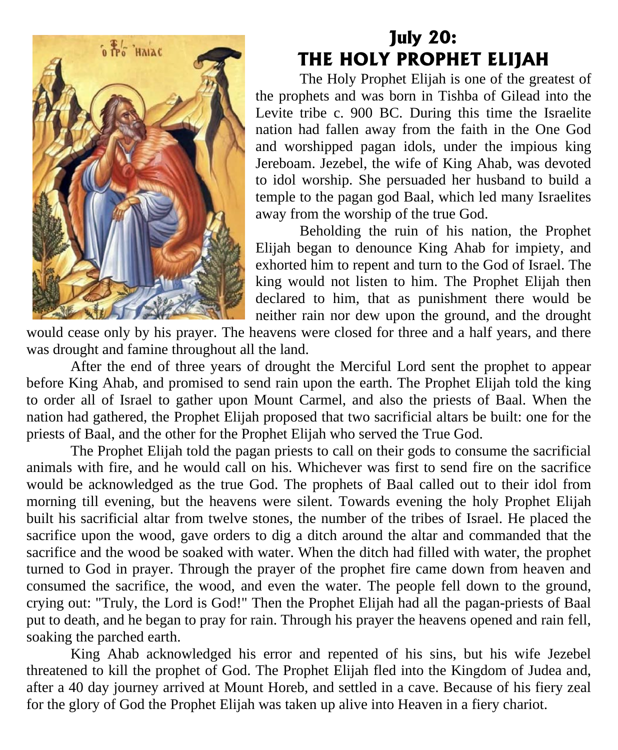

#### **July 20: THE HOLY PROPHET ELIJAH**

The Holy Prophet Elijah is one of the greatest of the prophets and was born in Tishba of Gilead into the Levite tribe c. 900 BC. During this time the Israelite nation had fallen away from the faith in the One God and worshipped pagan idols, under the impious king Jereboam. Jezebel, the wife of King Ahab, was devoted to idol worship. She persuaded her husband to build a temple to the pagan god Baal, which led many Israelites away from the worship of the true God.

Beholding the ruin of his nation, the Prophet Elijah began to denounce King Ahab for impiety, and exhorted him to repent and turn to the God of Israel. The king would not listen to him. The Prophet Elijah then declared to him, that as punishment there would be neither rain nor dew upon the ground, and the drought

would cease only by his prayer. The heavens were closed for three and a half years, and there was drought and famine throughout all the land.

After the end of three years of drought the Merciful Lord sent the prophet to appear before King Ahab, and promised to send rain upon the earth. The Prophet Elijah told the king to order all of Israel to gather upon Mount Carmel, and also the priests of Baal. When the nation had gathered, the Prophet Elijah proposed that two sacrificial altars be built: one for the priests of Baal, and the other for the Prophet Elijah who served the True God.

The Prophet Elijah told the pagan priests to call on their gods to consume the sacrificial animals with fire, and he would call on his. Whichever was first to send fire on the sacrifice would be acknowledged as the true God. The prophets of Baal called out to their idol from morning till evening, but the heavens were silent. Towards evening the holy Prophet Elijah built his sacrificial altar from twelve stones, the number of the tribes of Israel. He placed the sacrifice upon the wood, gave orders to dig a ditch around the altar and commanded that the sacrifice and the wood be soaked with water. When the ditch had filled with water, the prophet turned to God in prayer. Through the prayer of the prophet fire came down from heaven and consumed the sacrifice, the wood, and even the water. The people fell down to the ground, crying out: "Truly, the Lord is God!" Then the Prophet Elijah had all the pagan-priests of Baal put to death, and he began to pray for rain. Through his prayer the heavens opened and rain fell, soaking the parched earth.

King Ahab acknowledged his error and repented of his sins, but his wife Jezebel threatened to kill the prophet of God. The Prophet Elijah fled into the Kingdom of Judea and, after a 40 day journey arrived at Mount Horeb, and settled in a cave. Because of his fiery zeal for the glory of God the Prophet Elijah was taken up alive into Heaven in a fiery chariot.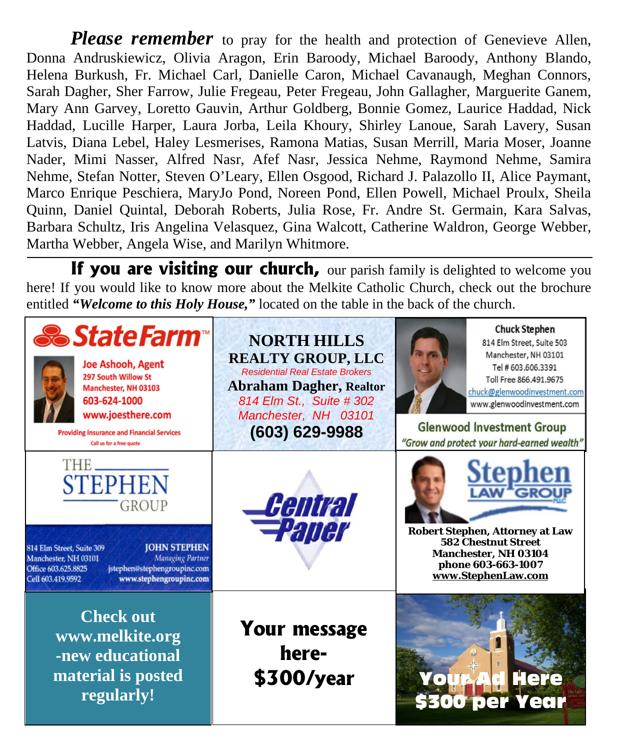*Please remember* to pray for the health and protection of Genevieve Allen, Donna Andruskiewicz, Olivia Aragon, Erin Baroody, Michael Baroody, Anthony Blando, Helena Burkush, Fr. Michael Carl, Danielle Caron, Michael Cavanaugh, Meghan Connors, Sarah Dagher, Sher Farrow, Julie Fregeau, Peter Fregeau, John Gallagher, Marguerite Ganem, Mary Ann Garvey, Loretto Gauvin, Arthur Goldberg, Bonnie Gomez, Laurice Haddad, Nick Haddad, Lucille Harper, Laura Jorba, Leila Khoury, Shirley Lanoue, Sarah Lavery, Susan Latvis, Diana Lebel, Haley Lesmerises, Ramona Matias, Susan Merrill, Maria Moser, Joanne Nader, Mimi Nasser, Alfred Nasr, Afef Nasr, Jessica Nehme, Raymond Nehme, Samira Nehme, Stefan Notter, Steven O'Leary, Ellen Osgood, Richard J. Palazollo II, Alice Paymant, Marco Enrique Peschiera, MaryJo Pond, Noreen Pond, Ellen Powell, Michael Proulx, Sheila Quinn, Daniel Quintal, Deborah Roberts, Julia Rose, Fr. Andre St. Germain, Kara Salvas, Barbara Schultz, Iris Angelina Velasquez, Gina Walcott, Catherine Waldron, George Webber, Martha Webber, Angela Wise, and Marilyn Whitmore.

**If you are visiting our church,** our parish family is delighted to welcome you here! If you would like to know more about the Melkite Catholic Church, check out the brochure entitled "Welcome to this Holy House," located on the table in the back of the church.

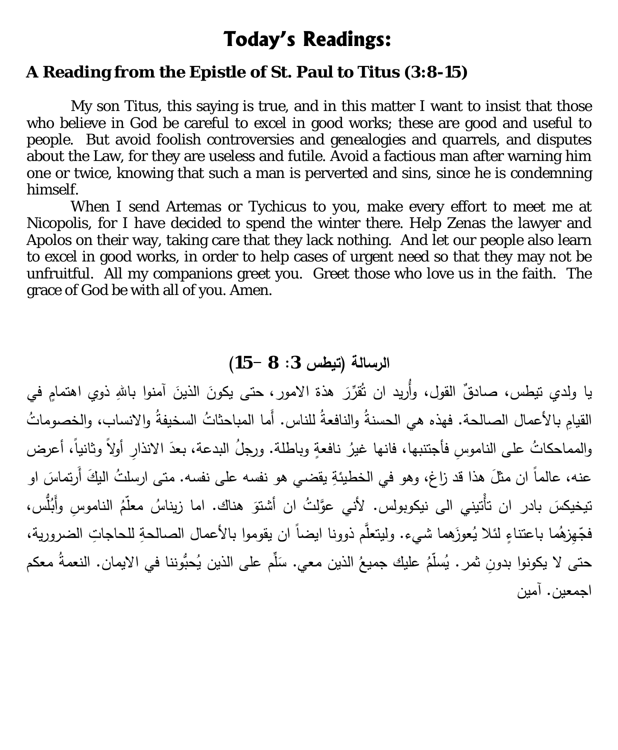#### **Today's Readings:**

#### **A Reading from the Epistle of St. Paul to Titus (3:8-15)**

 My son Titus, this saying is true, and in this matter I want to insist that those who believe in God be careful to excel in good works; these are good and useful to people. But avoid foolish controversies and genealogies and quarrels, and disputes about the Law, for they are useless and futile. Avoid a factious man after warning him one or twice, knowing that such a man is perverted and sins, since he is condemning himself.

When I send Artemas or Tychicus to you, make every effort to meet me at Nicopolis, for I have decided to spend the winter there. Help Zenas the lawyer and Apolos on their way, taking care that they lack nothing. And let our people also learn to excel in good works, in order to help cases of urgent need so that they may not be unfruitful. All my companions greet you. Greet those who love us in the faith. The grace of God be with all of you. Amen.

**الرسالة (تیطس :3 8 15-)**

يا ولدي تيطس، صـادقٌ القول، وأُريد ان تُقرِّرَ هذة الامور ، حتى يكونَ الذينَ آمنوا باللهِ ذوي اهتمامٍ في القيامِ بالأعمال الصالحة. فهذه هي الحسنةُ والنافعةُ للناس. أَما المباحثاتُ السخيفةُ والانساب، والخصوماتُ والمماحكاتُ على الناموسِ فأجتنبها، فانها غيرُ نافعةٍ وباطلة. ورجلُ البدعة، بعدَ الانذارِ أولاً وثانياً، أعرض عنه، عالماً ان مثلَ هذا قد زاغ، وهو في الخطيئةِ يقضـي هو نفسه علـى نفسه. متـى ارسلتُ البكَ أَرتماسَ او تيخيكسَ بادر ان تأْتيني الى نيكوبولس. لأني عوَّلتُ ان أشتوَ هناك. اما زيناسُ معلَّمُ الناموسِ وأَبُلَّس، فجّْهِزِهُما باعتناءٍ لئلا يُعوزَهما شيء. وليتعلَّم ذوونا ايضاً ان يقوموا بالأعمال الصالحةِ للحاجاتِ الضرورية، حتى لا يكونوا بدونِ ثمر . يُسلّمُ عليك جميعُ الذين معي. سَلّم على الذين يُحبُّوننا في الايمان. النعمةُ معكم  $\overline{\phantom{a}}$ اجمعین. آمین